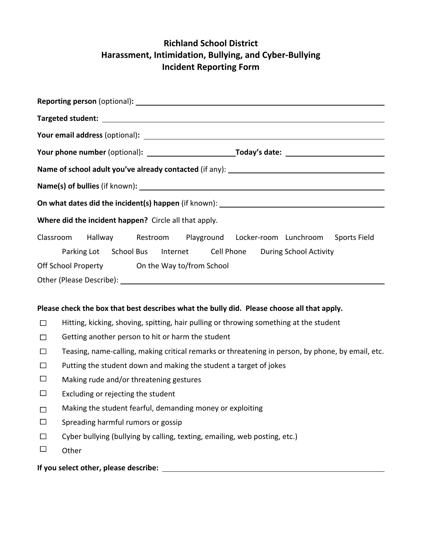## **Richland School District Harassment, Intimidation, Bullying, and Cyber‐Bullying Incident Reporting Form**

| Where did the incident happen? Circle all that apply.                                      |                                                                                                                                                                                         |
|--------------------------------------------------------------------------------------------|-----------------------------------------------------------------------------------------------------------------------------------------------------------------------------------------|
| Classroom                                                                                  | Hallway Restroom Playground Locker-room Lunchroom<br>Sports Field<br>Parking Lot School Bus Internet Cell Phone During School Activity<br>Off School Property On the Way to/from School |
| Please check the box that best describes what the bully did. Please choose all that apply. |                                                                                                                                                                                         |
| $\Box$                                                                                     | Hitting, kicking, shoving, spitting, hair pulling or throwing something at the student                                                                                                  |
| П                                                                                          | Getting another person to hit or harm the student                                                                                                                                       |
| $\Box$                                                                                     | Teasing, name-calling, making critical remarks or threatening in person, by phone, by email, etc.                                                                                       |
| П                                                                                          | Putting the student down and making the student a target of jokes                                                                                                                       |
| $\Box$                                                                                     | Making rude and/or threatening gestures                                                                                                                                                 |
|                                                                                            |                                                                                                                                                                                         |

- Excluding or rejecting the student  $\Box$
- Making the student fearful, demanding money or exploiting  $\Box$
- $\Box$ Spreading harmful rumors or gossip
- $\Box$ Cyber bullying (bullying by calling, texting, emailing, web posting, etc.)
- $\Box$ **Other**

**If you select other, please describe:**